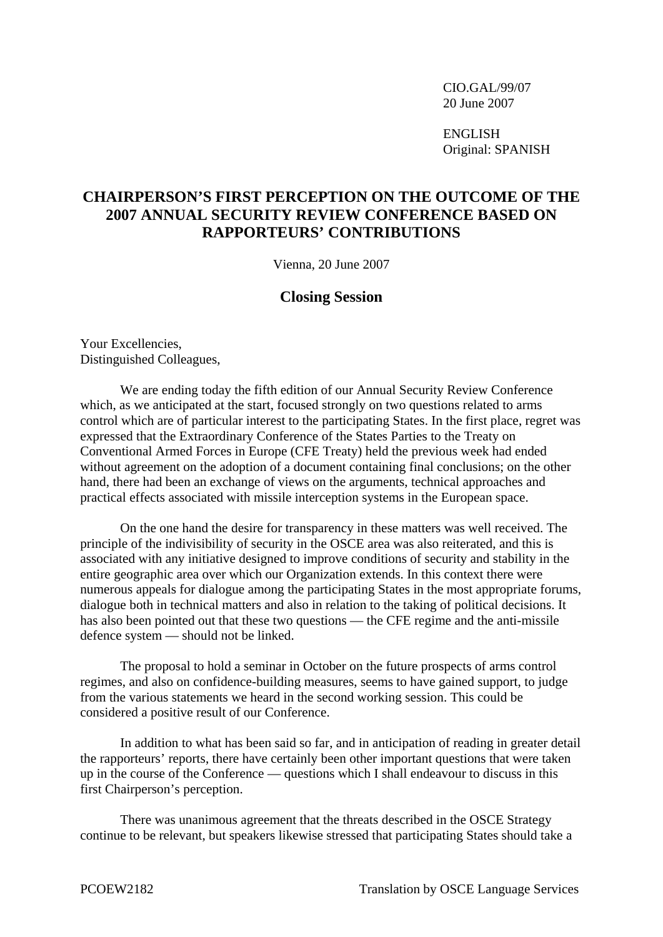CIO.GAL/99/07 20 June 2007

 ENGLISH Original: SPANISH

## **CHAIRPERSON'S FIRST PERCEPTION ON THE OUTCOME OF THE 2007 ANNUAL SECURITY REVIEW CONFERENCE BASED ON RAPPORTEURS' CONTRIBUTIONS**

Vienna, 20 June 2007

## **Closing Session**

Your Excellencies, Distinguished Colleagues,

 We are ending today the fifth edition of our Annual Security Review Conference which, as we anticipated at the start, focused strongly on two questions related to arms control which are of particular interest to the participating States. In the first place, regret was expressed that the Extraordinary Conference of the States Parties to the Treaty on Conventional Armed Forces in Europe (CFE Treaty) held the previous week had ended without agreement on the adoption of a document containing final conclusions; on the other hand, there had been an exchange of views on the arguments, technical approaches and practical effects associated with missile interception systems in the European space.

 On the one hand the desire for transparency in these matters was well received. The principle of the indivisibility of security in the OSCE area was also reiterated, and this is associated with any initiative designed to improve conditions of security and stability in the entire geographic area over which our Organization extends. In this context there were numerous appeals for dialogue among the participating States in the most appropriate forums, dialogue both in technical matters and also in relation to the taking of political decisions. It has also been pointed out that these two questions — the CFE regime and the anti-missile defence system — should not be linked.

 The proposal to hold a seminar in October on the future prospects of arms control regimes, and also on confidence-building measures, seems to have gained support, to judge from the various statements we heard in the second working session. This could be considered a positive result of our Conference.

 In addition to what has been said so far, and in anticipation of reading in greater detail the rapporteurs' reports, there have certainly been other important questions that were taken up in the course of the Conference — questions which I shall endeavour to discuss in this first Chairperson's perception.

 There was unanimous agreement that the threats described in the OSCE Strategy continue to be relevant, but speakers likewise stressed that participating States should take a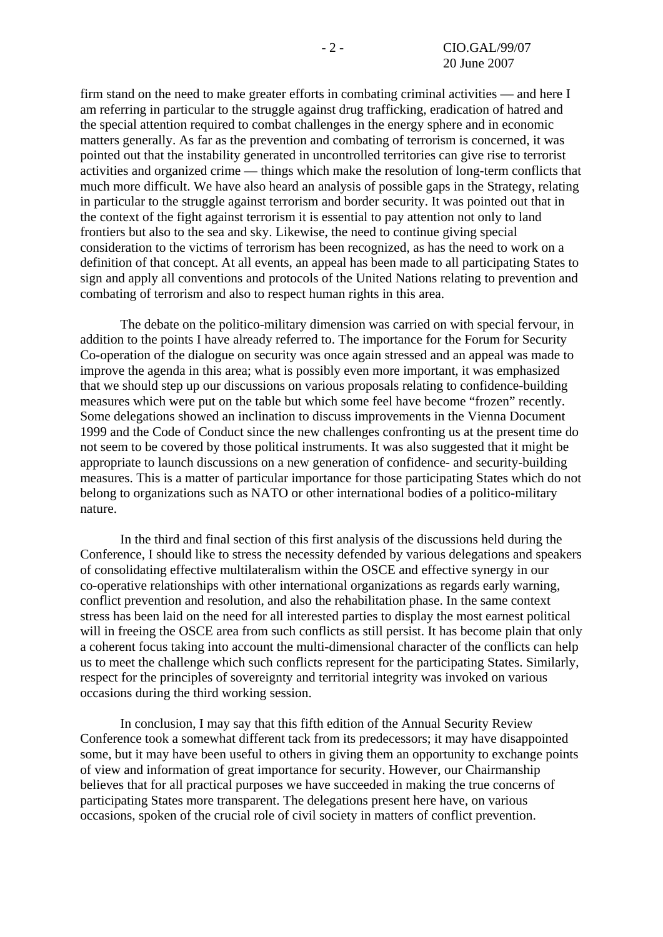firm stand on the need to make greater efforts in combating criminal activities — and here I am referring in particular to the struggle against drug trafficking, eradication of hatred and the special attention required to combat challenges in the energy sphere and in economic matters generally. As far as the prevention and combating of terrorism is concerned, it was pointed out that the instability generated in uncontrolled territories can give rise to terrorist activities and organized crime — things which make the resolution of long-term conflicts that much more difficult. We have also heard an analysis of possible gaps in the Strategy, relating in particular to the struggle against terrorism and border security. It was pointed out that in the context of the fight against terrorism it is essential to pay attention not only to land frontiers but also to the sea and sky. Likewise, the need to continue giving special consideration to the victims of terrorism has been recognized, as has the need to work on a definition of that concept. At all events, an appeal has been made to all participating States to sign and apply all conventions and protocols of the United Nations relating to prevention and combating of terrorism and also to respect human rights in this area.

 The debate on the politico-military dimension was carried on with special fervour, in addition to the points I have already referred to. The importance for the Forum for Security Co-operation of the dialogue on security was once again stressed and an appeal was made to improve the agenda in this area; what is possibly even more important, it was emphasized that we should step up our discussions on various proposals relating to confidence-building measures which were put on the table but which some feel have become "frozen" recently. Some delegations showed an inclination to discuss improvements in the Vienna Document 1999 and the Code of Conduct since the new challenges confronting us at the present time do not seem to be covered by those political instruments. It was also suggested that it might be appropriate to launch discussions on a new generation of confidence- and security-building measures. This is a matter of particular importance for those participating States which do not belong to organizations such as NATO or other international bodies of a politico-military nature.

 In the third and final section of this first analysis of the discussions held during the Conference, I should like to stress the necessity defended by various delegations and speakers of consolidating effective multilateralism within the OSCE and effective synergy in our co-operative relationships with other international organizations as regards early warning, conflict prevention and resolution, and also the rehabilitation phase. In the same context stress has been laid on the need for all interested parties to display the most earnest political will in freeing the OSCE area from such conflicts as still persist. It has become plain that only a coherent focus taking into account the multi-dimensional character of the conflicts can help us to meet the challenge which such conflicts represent for the participating States. Similarly, respect for the principles of sovereignty and territorial integrity was invoked on various occasions during the third working session.

 In conclusion, I may say that this fifth edition of the Annual Security Review Conference took a somewhat different tack from its predecessors; it may have disappointed some, but it may have been useful to others in giving them an opportunity to exchange points of view and information of great importance for security. However, our Chairmanship believes that for all practical purposes we have succeeded in making the true concerns of participating States more transparent. The delegations present here have, on various occasions, spoken of the crucial role of civil society in matters of conflict prevention.